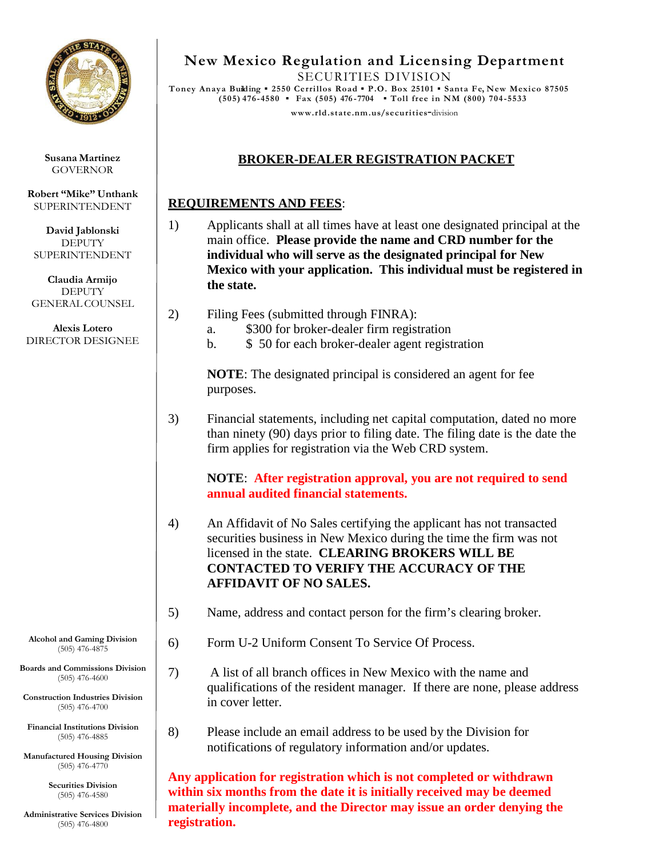

**Susana Martinez** GOVERNOR

**Robert "Mike" Unthank** SUPERINTENDENT

**David Jablonski DEPUTY** SUPERINTENDENT

**Claudia Armijo DEPUTY** GENERAL COUNSEL

**Alexis Lotero** DIRECTOR DESIGNEE

**Alcohol and Gaming Division** (505) 476-4875

**Boards and Commissions Division** (505) 476-4600

**Construction Industries Division** (505) 476-4700

**Financial Institutions Division** (505) 476-4885

**Manufactured Housing Division** (505) 476-4770

> **Securities Division** (505) 476-4580

**Administrative Services Division** (505) 476-4800

**New Mexico Regulation and Licensing Department**

SECURITIES DIVISION **Toney Anaya Building ▪ 2550 Cerrillos Road ▪ P.O. Box 25101 ▪ Santa Fe, New Mexico 87505 (505) 476-4580 ▪ Fax (505) 476 -7704 ▪ Toll free in NM (800) 704-5533**

**www.rld.s [tate.nm.us/securities](http://www.rld.state.nm.us/securities)**-division

### **BROKER-DEALER REGISTRATION PACKET**

#### **REQUIREMENTS AND FEES**:

- 1) Applicants shall at all times have at least one designated principal at the main office. **Please provide the name and CRD number for the individual who will serve as the designated principal for New Mexico with your application. This individual must be registered in the state.**
- 2) Filing Fees (submitted through FINRA):
	- a. \$300 for broker-dealer firm registration
	- b. \$ 50 for each broker-dealer agent registration

**NOTE**: The designated principal is considered an agent for fee purposes.

3) Financial statements, including net capital computation, dated no more than ninety (90) days prior to filing date. The filing date is the date the firm applies for registration via the Web CRD system.

**NOTE**: **After registration approval, you are not required to send annual audited financial statements.**

- 4) An Affidavit of No Sales certifying the applicant has not transacted securities business in New Mexico during the time the firm was not licensed in the state. **CLEARING BROKERS WILL BE CONTACTED TO VERIFY THE ACCURACY OF THE AFFIDAVIT OF NO SALES.**
- 5) Name, address and contact person for the firm's clearing broker.
- 6) Form U-2 Uniform Consent To Service Of Process.
- 7) A list of all branch offices in New Mexico with the name and qualifications of the resident manager. If there are none, please address in cover letter.
- 8) Please include an email address to be used by the Division for notifications of regulatory information and/or updates.

**Any application for registration which is not completed or withdrawn within six months from the date it is initially received may be deemed materially incomplete, and the Director may issue an order denying the registration.**